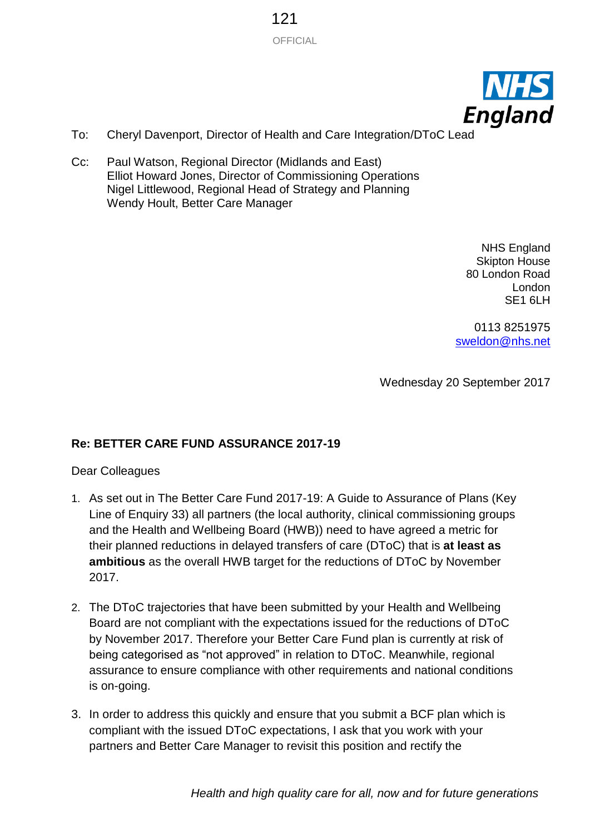OFFICIAL 121



- To: Cheryl Davenport, Director of Health and Care Integration/DToC Lead
- Cc: Paul Watson, Regional Director (Midlands and East) Elliot Howard Jones, Director of Commissioning Operations Nigel Littlewood, Regional Head of Strategy and Planning Wendy Hoult, Better Care Manager

NHS England Skipton House 80 London Road London SE1 6LH

0113 8251975 [sweldon@nhs.net](mailto:sweldon@nhs.net)

Wednesday 20 September 2017

## **Re: BETTER CARE FUND ASSURANCE 2017-19**

Dear Colleagues

- 1. As set out in The Better Care Fund 2017-19: A Guide to Assurance of Plans (Key Line of Enquiry 33) all partners (the local authority, clinical commissioning groups and the Health and Wellbeing Board (HWB)) need to have agreed a metric for their planned reductions in delayed transfers of care (DToC) that is **at least as ambitious** as the overall HWB target for the reductions of DToC by November 2017.
- 2. The DToC trajectories that have been submitted by your Health and Wellbeing Board are not compliant with the expectations issued for the reductions of DToC by November 2017. Therefore your Better Care Fund plan is currently at risk of being categorised as "not approved" in relation to DToC. Meanwhile, regional assurance to ensure compliance with other requirements and national conditions is on-going.
- 3. In order to address this quickly and ensure that you submit a BCF plan which is compliant with the issued DToC expectations, I ask that you work with your partners and Better Care Manager to revisit this position and rectify the